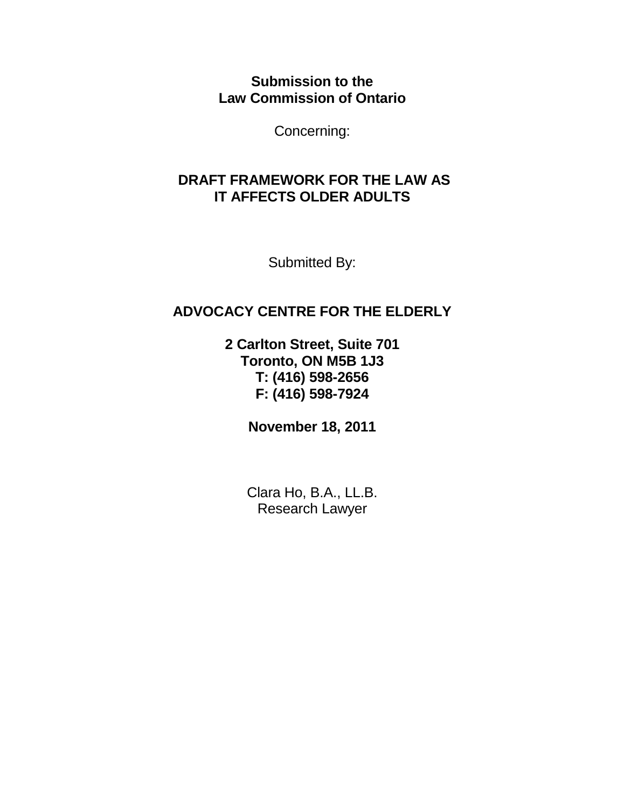**Submission to the Law Commission of Ontario** 

Concerning:

# **DRAFT FRAMEWORK FOR THE LAW AS IT AFFECTS OLDER ADULTS**

Submitted By:

# **ADVOCACY CENTRE FOR THE ELDERLY**

**2 Carlton Street, Suite 701 Toronto, ON M5B 1J3 T: (416) 598-2656 F: (416) 598-7924** 

**November 18, 2011** 

Clara Ho, B.A., LL.B. Research Lawyer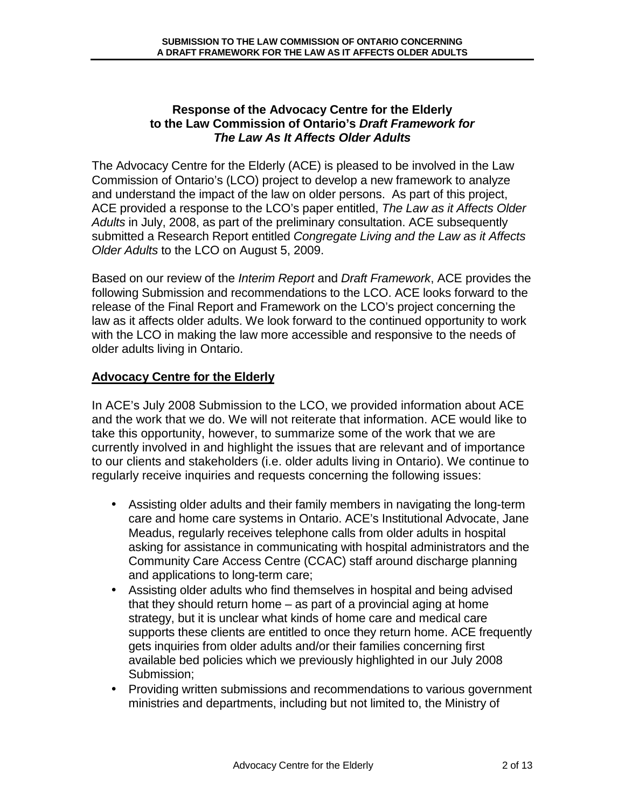## **Response of the Advocacy Centre for the Elderly to the Law Commission of Ontario's Draft Framework for The Law As It Affects Older Adults**

The Advocacy Centre for the Elderly (ACE) is pleased to be involved in the Law Commission of Ontario's (LCO) project to develop a new framework to analyze and understand the impact of the law on older persons. As part of this project, ACE provided a response to the LCO's paper entitled, The Law as it Affects Older Adults in July, 2008, as part of the preliminary consultation. ACE subsequently submitted a Research Report entitled Congregate Living and the Law as it Affects Older Adults to the LCO on August 5, 2009.

Based on our review of the *Interim Report* and *Draft Framework*, ACE provides the following Submission and recommendations to the LCO. ACE looks forward to the release of the Final Report and Framework on the LCO's project concerning the law as it affects older adults. We look forward to the continued opportunity to work with the LCO in making the law more accessible and responsive to the needs of older adults living in Ontario.

# **Advocacy Centre for the Elderly**

In ACE's July 2008 Submission to the LCO, we provided information about ACE and the work that we do. We will not reiterate that information. ACE would like to take this opportunity, however, to summarize some of the work that we are currently involved in and highlight the issues that are relevant and of importance to our clients and stakeholders (i.e. older adults living in Ontario). We continue to regularly receive inquiries and requests concerning the following issues:

- Assisting older adults and their family members in navigating the long-term care and home care systems in Ontario. ACE's Institutional Advocate, Jane Meadus, regularly receives telephone calls from older adults in hospital asking for assistance in communicating with hospital administrators and the Community Care Access Centre (CCAC) staff around discharge planning and applications to long-term care;
- Assisting older adults who find themselves in hospital and being advised that they should return home – as part of a provincial aging at home strategy, but it is unclear what kinds of home care and medical care supports these clients are entitled to once they return home. ACE frequently gets inquiries from older adults and/or their families concerning first available bed policies which we previously highlighted in our July 2008 Submission;
- Providing written submissions and recommendations to various government ministries and departments, including but not limited to, the Ministry of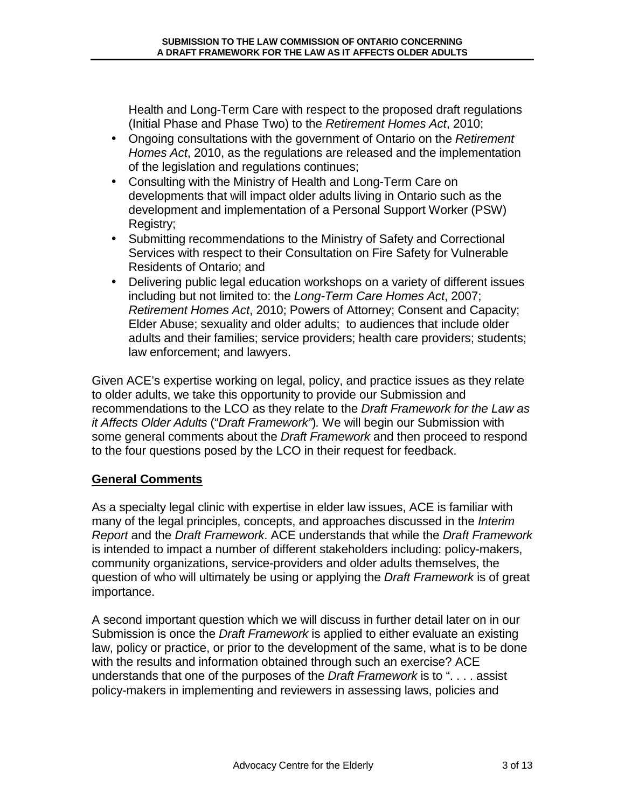Health and Long-Term Care with respect to the proposed draft regulations (Initial Phase and Phase Two) to the Retirement Homes Act, 2010;

- Ongoing consultations with the government of Ontario on the Retirement Homes Act, 2010, as the regulations are released and the implementation of the legislation and regulations continues;
- Consulting with the Ministry of Health and Long-Term Care on developments that will impact older adults living in Ontario such as the development and implementation of a Personal Support Worker (PSW) Registry;
- Submitting recommendations to the Ministry of Safety and Correctional Services with respect to their Consultation on Fire Safety for Vulnerable Residents of Ontario; and
- Delivering public legal education workshops on a variety of different issues including but not limited to: the Long-Term Care Homes Act, 2007; Retirement Homes Act, 2010; Powers of Attorney; Consent and Capacity; Elder Abuse; sexuality and older adults; to audiences that include older adults and their families; service providers; health care providers; students; law enforcement; and lawyers.

Given ACE's expertise working on legal, policy, and practice issues as they relate to older adults, we take this opportunity to provide our Submission and recommendations to the LCO as they relate to the Draft Framework for the Law as it Affects Older Adults ("Draft Framework"). We will begin our Submission with some general comments about the Draft Framework and then proceed to respond to the four questions posed by the LCO in their request for feedback.

# **General Comments**

As a specialty legal clinic with expertise in elder law issues, ACE is familiar with many of the legal principles, concepts, and approaches discussed in the Interim Report and the Draft Framework. ACE understands that while the Draft Framework is intended to impact a number of different stakeholders including: policy-makers, community organizations, service-providers and older adults themselves, the question of who will ultimately be using or applying the Draft Framework is of great importance.

A second important question which we will discuss in further detail later on in our Submission is once the Draft Framework is applied to either evaluate an existing law, policy or practice, or prior to the development of the same, what is to be done with the results and information obtained through such an exercise? ACE understands that one of the purposes of the *Draft Framework* is to " $\ldots$  assist policy-makers in implementing and reviewers in assessing laws, policies and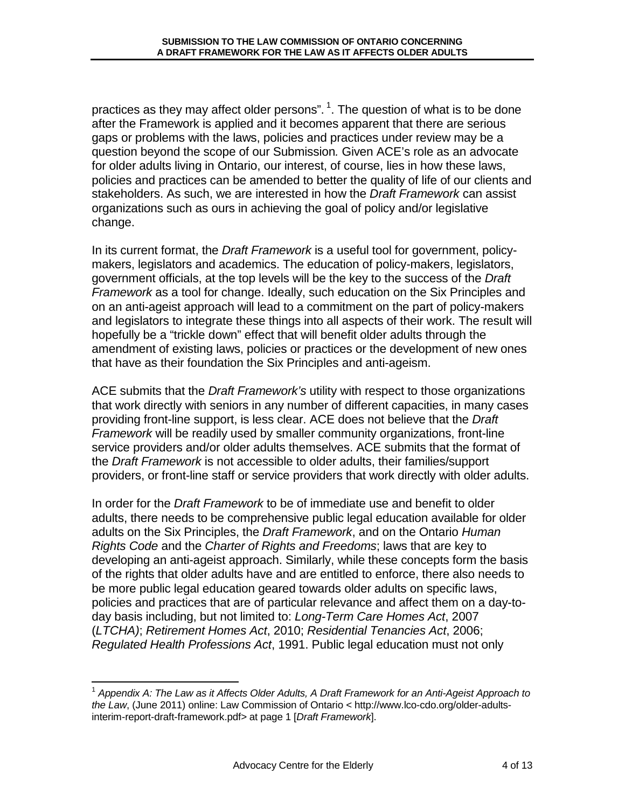practices as they may affect older persons".  $1$ . The question of what is to be done after the Framework is applied and it becomes apparent that there are serious gaps or problems with the laws, policies and practices under review may be a question beyond the scope of our Submission. Given ACE's role as an advocate for older adults living in Ontario, our interest, of course, lies in how these laws, policies and practices can be amended to better the quality of life of our clients and stakeholders. As such, we are interested in how the *Draft Framework* can assist organizations such as ours in achieving the goal of policy and/or legislative change.

In its current format, the *Draft Framework* is a useful tool for government, policymakers, legislators and academics. The education of policy-makers, legislators, government officials, at the top levels will be the key to the success of the Draft Framework as a tool for change. Ideally, such education on the Six Principles and on an anti-ageist approach will lead to a commitment on the part of policy-makers and legislators to integrate these things into all aspects of their work. The result will hopefully be a "trickle down" effect that will benefit older adults through the amendment of existing laws, policies or practices or the development of new ones that have as their foundation the Six Principles and anti-ageism.

ACE submits that the *Draft Framework's* utility with respect to those organizations that work directly with seniors in any number of different capacities, in many cases providing front-line support, is less clear. ACE does not believe that the Draft Framework will be readily used by smaller community organizations, front-line service providers and/or older adults themselves. ACE submits that the format of the Draft Framework is not accessible to older adults, their families/support providers, or front-line staff or service providers that work directly with older adults.

In order for the *Draft Framework* to be of immediate use and benefit to older adults, there needs to be comprehensive public legal education available for older adults on the Six Principles, the Draft Framework, and on the Ontario Human Rights Code and the Charter of Rights and Freedoms; laws that are key to developing an anti-ageist approach. Similarly, while these concepts form the basis of the rights that older adults have and are entitled to enforce, there also needs to be more public legal education geared towards older adults on specific laws, policies and practices that are of particular relevance and affect them on a day-today basis including, but not limited to: Long-Term Care Homes Act, 2007 (LTCHA); Retirement Homes Act, 2010; Residential Tenancies Act, 2006; Regulated Health Professions Act, 1991. Public legal education must not only

 $\overline{1}$ 

 $^1$  Appendix A: The Law as it Affects Older Adults, A Draft Framework for an Anti-Ageist Approach to the Law, (June 2011) online: Law Commission of Ontario < http://www.lco-cdo.org/older-adultsinterim-report-draft-framework.pdf> at page 1 [Draft Framework].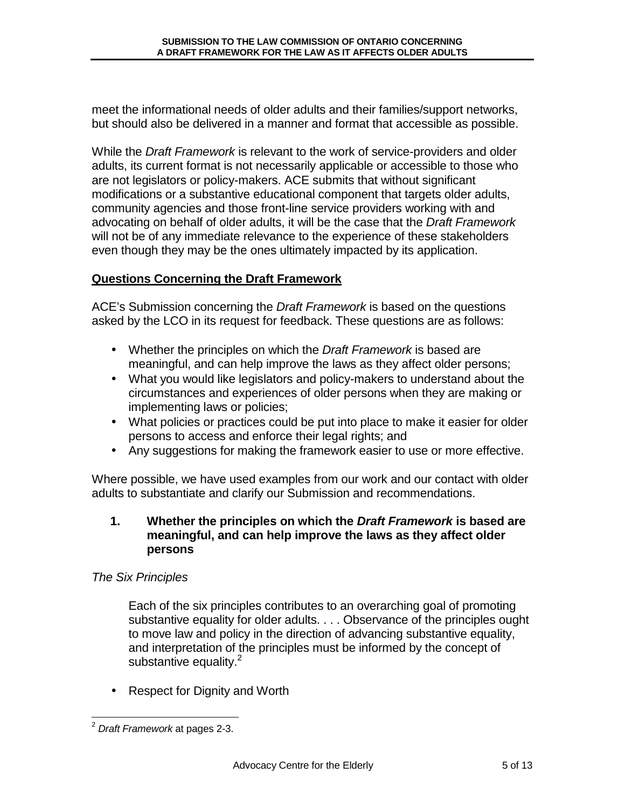meet the informational needs of older adults and their families/support networks, but should also be delivered in a manner and format that accessible as possible.

While the Draft Framework is relevant to the work of service-providers and older adults, its current format is not necessarily applicable or accessible to those who are not legislators or policy-makers. ACE submits that without significant modifications or a substantive educational component that targets older adults, community agencies and those front-line service providers working with and advocating on behalf of older adults, it will be the case that the Draft Framework will not be of any immediate relevance to the experience of these stakeholders even though they may be the ones ultimately impacted by its application.

# **Questions Concerning the Draft Framework**

ACE's Submission concerning the *Draft Framework* is based on the questions asked by the LCO in its request for feedback. These questions are as follows:

- Whether the principles on which the Draft Framework is based are meaningful, and can help improve the laws as they affect older persons;
- What you would like legislators and policy-makers to understand about the circumstances and experiences of older persons when they are making or implementing laws or policies;
- What policies or practices could be put into place to make it easier for older persons to access and enforce their legal rights; and
- Any suggestions for making the framework easier to use or more effective.

Where possible, we have used examples from our work and our contact with older adults to substantiate and clarify our Submission and recommendations.

#### **1. Whether the principles on which the Draft Framework is based are meaningful, and can help improve the laws as they affect older persons**

### The Six Principles

Each of the six principles contributes to an overarching goal of promoting substantive equality for older adults. . . . Observance of the principles ought to move law and policy in the direction of advancing substantive equality, and interpretation of the principles must be informed by the concept of substantive equality.<sup>2</sup>

• Respect for Dignity and Worth

 $\overline{\phantom{a}}$  $^{2}$  Draft Framework at pages 2-3.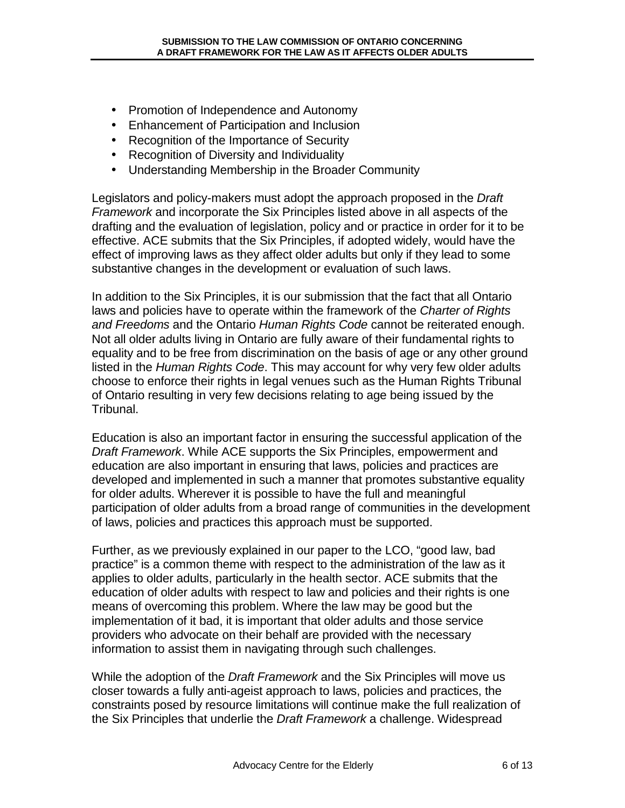- Promotion of Independence and Autonomy
- Enhancement of Participation and Inclusion
- Recognition of the Importance of Security
- Recognition of Diversity and Individuality
- Understanding Membership in the Broader Community

Legislators and policy-makers must adopt the approach proposed in the Draft Framework and incorporate the Six Principles listed above in all aspects of the drafting and the evaluation of legislation, policy and or practice in order for it to be effective. ACE submits that the Six Principles, if adopted widely, would have the effect of improving laws as they affect older adults but only if they lead to some substantive changes in the development or evaluation of such laws.

In addition to the Six Principles, it is our submission that the fact that all Ontario laws and policies have to operate within the framework of the Charter of Rights and Freedoms and the Ontario Human Rights Code cannot be reiterated enough. Not all older adults living in Ontario are fully aware of their fundamental rights to equality and to be free from discrimination on the basis of age or any other ground listed in the Human Rights Code. This may account for why very few older adults choose to enforce their rights in legal venues such as the Human Rights Tribunal of Ontario resulting in very few decisions relating to age being issued by the Tribunal.

Education is also an important factor in ensuring the successful application of the Draft Framework. While ACE supports the Six Principles, empowerment and education are also important in ensuring that laws, policies and practices are developed and implemented in such a manner that promotes substantive equality for older adults. Wherever it is possible to have the full and meaningful participation of older adults from a broad range of communities in the development of laws, policies and practices this approach must be supported.

Further, as we previously explained in our paper to the LCO, "good law, bad practice" is a common theme with respect to the administration of the law as it applies to older adults, particularly in the health sector. ACE submits that the education of older adults with respect to law and policies and their rights is one means of overcoming this problem. Where the law may be good but the implementation of it bad, it is important that older adults and those service providers who advocate on their behalf are provided with the necessary information to assist them in navigating through such challenges.

While the adoption of the *Draft Framework* and the Six Principles will move us closer towards a fully anti-ageist approach to laws, policies and practices, the constraints posed by resource limitations will continue make the full realization of the Six Principles that underlie the *Draft Framework* a challenge. Widespread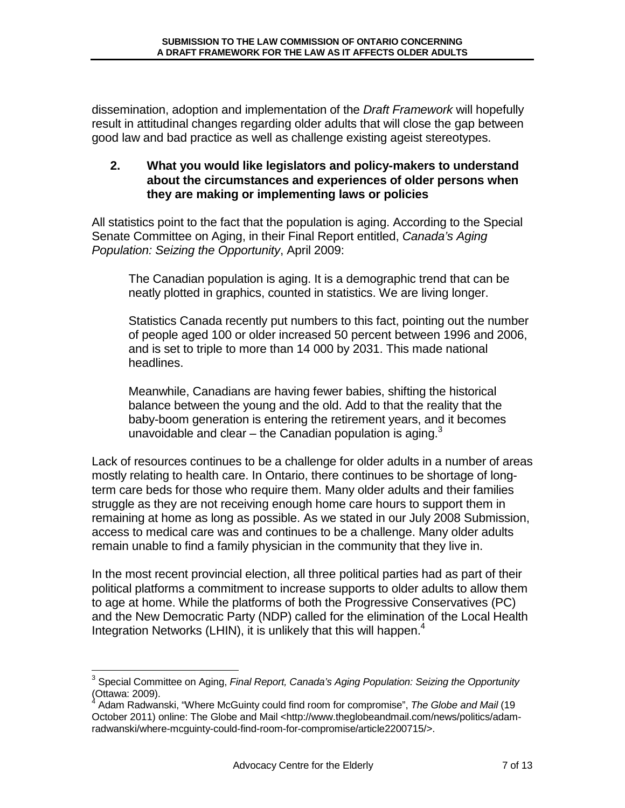dissemination, adoption and implementation of the *Draft Framework* will hopefully result in attitudinal changes regarding older adults that will close the gap between good law and bad practice as well as challenge existing ageist stereotypes.

## **2. What you would like legislators and policy-makers to understand about the circumstances and experiences of older persons when they are making or implementing laws or policies**

All statistics point to the fact that the population is aging. According to the Special Senate Committee on Aging, in their Final Report entitled, Canada's Aging Population: Seizing the Opportunity, April 2009:

The Canadian population is aging. It is a demographic trend that can be neatly plotted in graphics, counted in statistics. We are living longer.

Statistics Canada recently put numbers to this fact, pointing out the number of people aged 100 or older increased 50 percent between 1996 and 2006, and is set to triple to more than 14 000 by 2031. This made national headlines.

Meanwhile, Canadians are having fewer babies, shifting the historical balance between the young and the old. Add to that the reality that the baby-boom generation is entering the retirement years, and it becomes unavoidable and clear  $-$  the Canadian population is aging.<sup>3</sup>

Lack of resources continues to be a challenge for older adults in a number of areas mostly relating to health care. In Ontario, there continues to be shortage of longterm care beds for those who require them. Many older adults and their families struggle as they are not receiving enough home care hours to support them in remaining at home as long as possible. As we stated in our July 2008 Submission, access to medical care was and continues to be a challenge. Many older adults remain unable to find a family physician in the community that they live in.

In the most recent provincial election, all three political parties had as part of their political platforms a commitment to increase supports to older adults to allow them to age at home. While the platforms of both the Progressive Conservatives (PC) and the New Democratic Party (NDP) called for the elimination of the Local Health Integration Networks (LHIN), it is unlikely that this will happen.<sup>4</sup>

 3 Special Committee on Aging, Final Report, Canada's Aging Population: Seizing the Opportunity (Ottawa: 2009). 4

Adam Radwanski, "Where McGuinty could find room for compromise", The Globe and Mail (19 October 2011) online: The Globe and Mail <http://www.theglobeandmail.com/news/politics/adamradwanski/where-mcguinty-could-find-room-for-compromise/article2200715/>.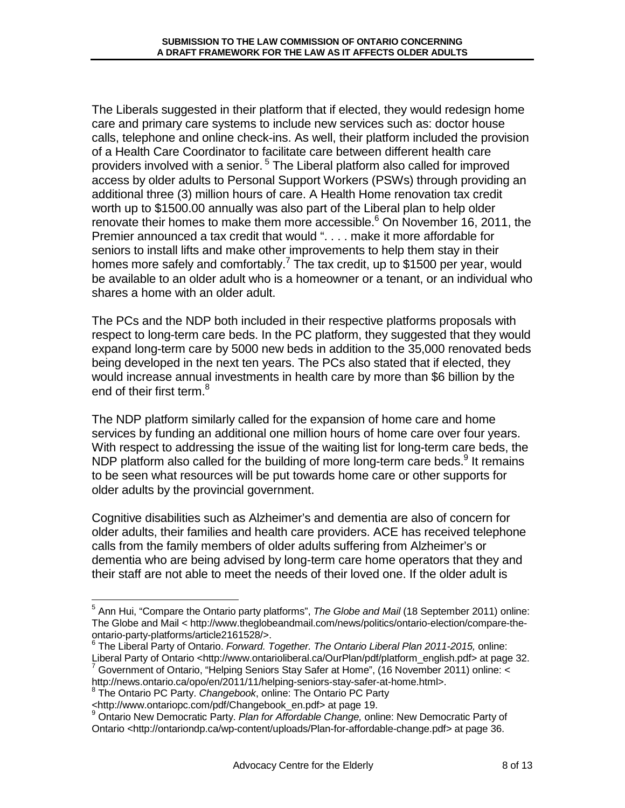The Liberals suggested in their platform that if elected, they would redesign home care and primary care systems to include new services such as: doctor house calls, telephone and online check-ins. As well, their platform included the provision of a Health Care Coordinator to facilitate care between different health care providers involved with a senior.<sup>5</sup> The Liberal platform also called for improved access by older adults to Personal Support Workers (PSWs) through providing an additional three (3) million hours of care. A Health Home renovation tax credit worth up to \$1500.00 annually was also part of the Liberal plan to help older renovate their homes to make them more accessible.<sup>6</sup> On November 16, 2011, the Premier announced a tax credit that would ". . . . make it more affordable for seniors to install lifts and make other improvements to help them stay in their homes more safely and comfortably.<sup>7</sup> The tax credit, up to \$1500 per year, would be available to an older adult who is a homeowner or a tenant, or an individual who shares a home with an older adult.

The PCs and the NDP both included in their respective platforms proposals with respect to long-term care beds. In the PC platform, they suggested that they would expand long-term care by 5000 new beds in addition to the 35,000 renovated beds being developed in the next ten years. The PCs also stated that if elected, they would increase annual investments in health care by more than \$6 billion by the end of their first term.<sup>8</sup>

The NDP platform similarly called for the expansion of home care and home services by funding an additional one million hours of home care over four years. With respect to addressing the issue of the waiting list for long-term care beds, the NDP platform also called for the building of more long-term care beds.<sup>9</sup> It remains to be seen what resources will be put towards home care or other supports for older adults by the provincial government.

Cognitive disabilities such as Alzheimer's and dementia are also of concern for older adults, their families and health care providers. ACE has received telephone calls from the family members of older adults suffering from Alzheimer's or dementia who are being advised by long-term care home operators that they and their staff are not able to meet the needs of their loved one. If the older adult is

http://news.ontario.ca/opo/en/2011/11/helping-seniors-stay-safer-at-home.html>.

1

<sup>&</sup>lt;sup>5</sup> Ann Hui, "Compare the Ontario party platforms", The Globe and Mail (18 September 2011) online: The Globe and Mail < http://www.theglobeandmail.com/news/politics/ontario-election/compare-theontario-party-platforms/article2161528/>.

<sup>&</sup>lt;sup>6</sup> The Liberal Party of Ontario. Forward. Together. The Ontario Liberal Plan 2011-2015, online: Liberal Party of Ontario <http://www.ontarioliberal.ca/OurPlan/pdf/platform\_english.pdf> at page 32. <sup>7</sup> Government of Ontario, "Helping Seniors Stay Safer at Home", (16 November 2011) online: <

<sup>&</sup>lt;sup>8</sup> The Ontario PC Party. Changebook, online: The Ontario PC Party

<sup>&</sup>lt;http://www.ontariopc.com/pdf/Changebook\_en.pdf> at page 19.<br><sup>9</sup> Ontario New Democratic Party. *Plan for Affordable Change,* online: New Democratic Party of Ontario <http://ontariondp.ca/wp-content/uploads/Plan-for-affordable-change.pdf> at page 36.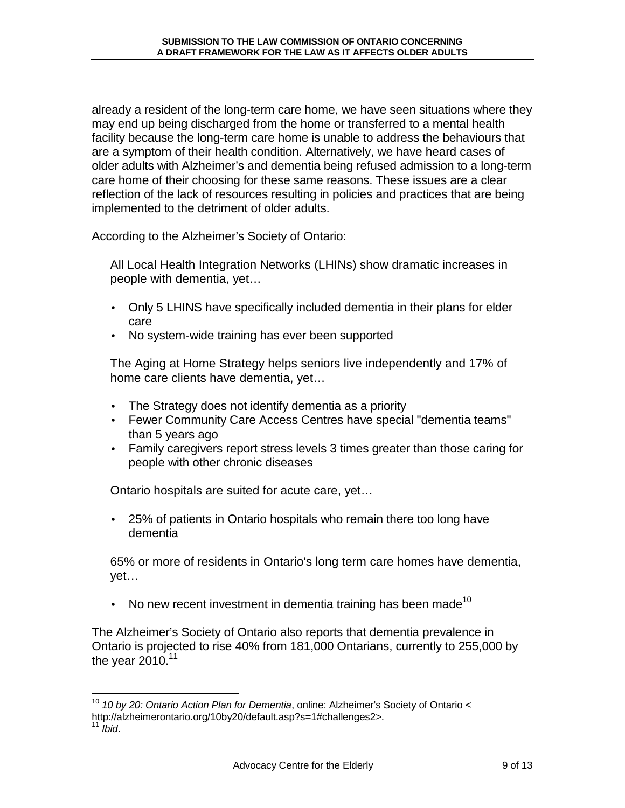already a resident of the long-term care home, we have seen situations where they may end up being discharged from the home or transferred to a mental health facility because the long-term care home is unable to address the behaviours that are a symptom of their health condition. Alternatively, we have heard cases of older adults with Alzheimer's and dementia being refused admission to a long-term care home of their choosing for these same reasons. These issues are a clear reflection of the lack of resources resulting in policies and practices that are being implemented to the detriment of older adults.

According to the Alzheimer's Society of Ontario:

All Local Health Integration Networks (LHINs) show dramatic increases in people with dementia, yet…

- Only 5 LHINS have specifically included dementia in their plans for elder care
- No system-wide training has ever been supported

The Aging at Home Strategy helps seniors live independently and 17% of home care clients have dementia, yet…

- The Strategy does not identify dementia as a priority
- Fewer Community Care Access Centres have special "dementia teams" than 5 years ago
- Family caregivers report stress levels 3 times greater than those caring for people with other chronic diseases

Ontario hospitals are suited for acute care, yet…

• 25% of patients in Ontario hospitals who remain there too long have dementia

65% or more of residents in Ontario's long term care homes have dementia, yet…

• No new recent investment in dementia training has been made<sup>10</sup>

The Alzheimer's Society of Ontario also reports that dementia prevalence in Ontario is projected to rise 40% from 181,000 Ontarians, currently to 255,000 by the year 2010. $11$ 

<sup>1</sup>  $10$  10 by 20: Ontario Action Plan for Dementia, online: Alzheimer's Society of Ontario < http://alzheimerontario.org/10by20/default.asp?s=1#challenges2>.

 $<sup>1</sup>$  Ibid.</sup>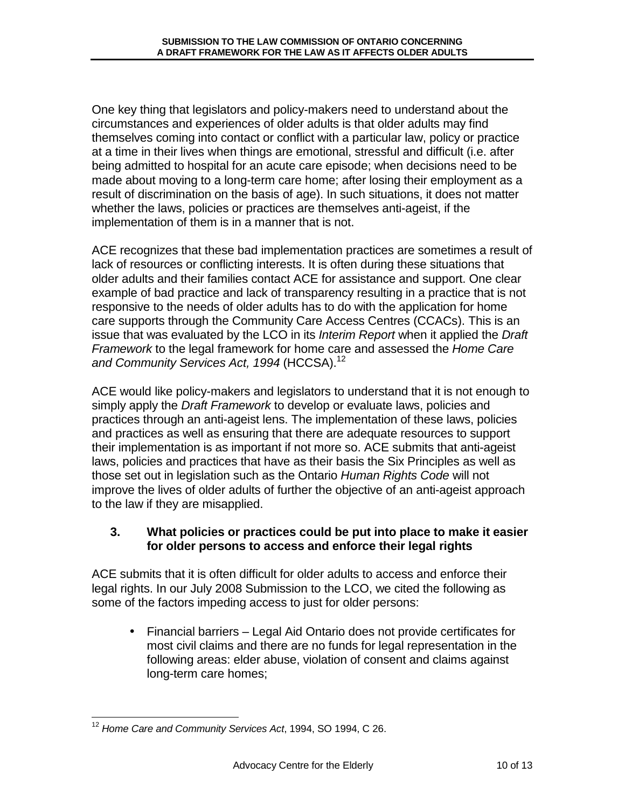One key thing that legislators and policy-makers need to understand about the circumstances and experiences of older adults is that older adults may find themselves coming into contact or conflict with a particular law, policy or practice at a time in their lives when things are emotional, stressful and difficult (i.e. after being admitted to hospital for an acute care episode; when decisions need to be made about moving to a long-term care home; after losing their employment as a result of discrimination on the basis of age). In such situations, it does not matter whether the laws, policies or practices are themselves anti-ageist, if the implementation of them is in a manner that is not.

ACE recognizes that these bad implementation practices are sometimes a result of lack of resources or conflicting interests. It is often during these situations that older adults and their families contact ACE for assistance and support. One clear example of bad practice and lack of transparency resulting in a practice that is not responsive to the needs of older adults has to do with the application for home care supports through the Community Care Access Centres (CCACs). This is an issue that was evaluated by the LCO in its *Interim Report* when it applied the *Draft* Framework to the legal framework for home care and assessed the Home Care and Community Services Act, 1994 (HCCSA).<sup>12</sup>

ACE would like policy-makers and legislators to understand that it is not enough to simply apply the Draft Framework to develop or evaluate laws, policies and practices through an anti-ageist lens. The implementation of these laws, policies and practices as well as ensuring that there are adequate resources to support their implementation is as important if not more so. ACE submits that anti-ageist laws, policies and practices that have as their basis the Six Principles as well as those set out in legislation such as the Ontario Human Rights Code will not improve the lives of older adults of further the objective of an anti-ageist approach to the law if they are misapplied.

## **3. What policies or practices could be put into place to make it easier for older persons to access and enforce their legal rights**

ACE submits that it is often difficult for older adults to access and enforce their legal rights. In our July 2008 Submission to the LCO, we cited the following as some of the factors impeding access to just for older persons:

• Financial barriers – Legal Aid Ontario does not provide certificates for most civil claims and there are no funds for legal representation in the following areas: elder abuse, violation of consent and claims against long-term care homes;

 $\overline{1}$  $12$  Home Care and Community Services Act, 1994, SO 1994, C 26.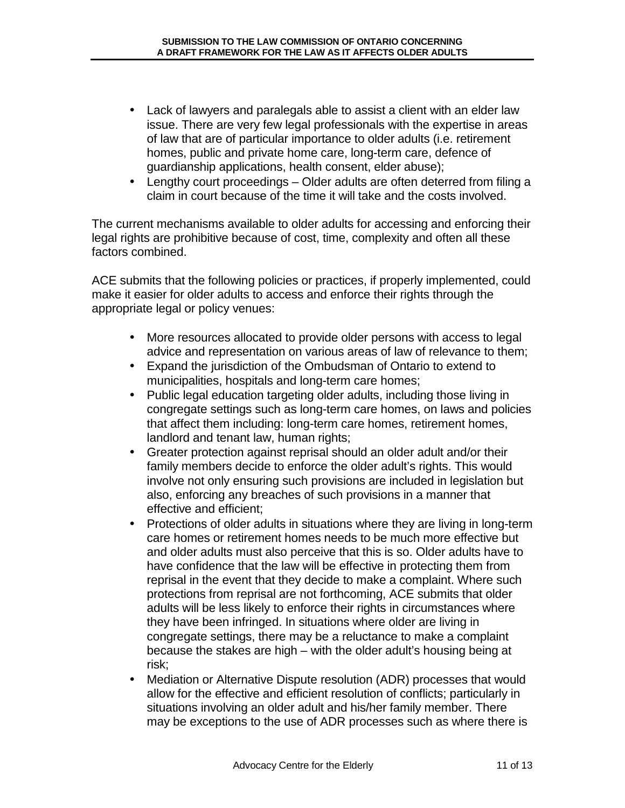- Lack of lawyers and paralegals able to assist a client with an elder law issue. There are very few legal professionals with the expertise in areas of law that are of particular importance to older adults (i.e. retirement homes, public and private home care, long-term care, defence of guardianship applications, health consent, elder abuse);
- Lengthy court proceedings Older adults are often deterred from filing a claim in court because of the time it will take and the costs involved.

The current mechanisms available to older adults for accessing and enforcing their legal rights are prohibitive because of cost, time, complexity and often all these factors combined.

ACE submits that the following policies or practices, if properly implemented, could make it easier for older adults to access and enforce their rights through the appropriate legal or policy venues:

- More resources allocated to provide older persons with access to legal advice and representation on various areas of law of relevance to them;
- Expand the jurisdiction of the Ombudsman of Ontario to extend to municipalities, hospitals and long-term care homes;
- Public legal education targeting older adults, including those living in congregate settings such as long-term care homes, on laws and policies that affect them including: long-term care homes, retirement homes, landlord and tenant law, human rights;
- Greater protection against reprisal should an older adult and/or their family members decide to enforce the older adult's rights. This would involve not only ensuring such provisions are included in legislation but also, enforcing any breaches of such provisions in a manner that effective and efficient;
- Protections of older adults in situations where they are living in long-term care homes or retirement homes needs to be much more effective but and older adults must also perceive that this is so. Older adults have to have confidence that the law will be effective in protecting them from reprisal in the event that they decide to make a complaint. Where such protections from reprisal are not forthcoming, ACE submits that older adults will be less likely to enforce their rights in circumstances where they have been infringed. In situations where older are living in congregate settings, there may be a reluctance to make a complaint because the stakes are high – with the older adult's housing being at risk;
- Mediation or Alternative Dispute resolution (ADR) processes that would allow for the effective and efficient resolution of conflicts; particularly in situations involving an older adult and his/her family member. There may be exceptions to the use of ADR processes such as where there is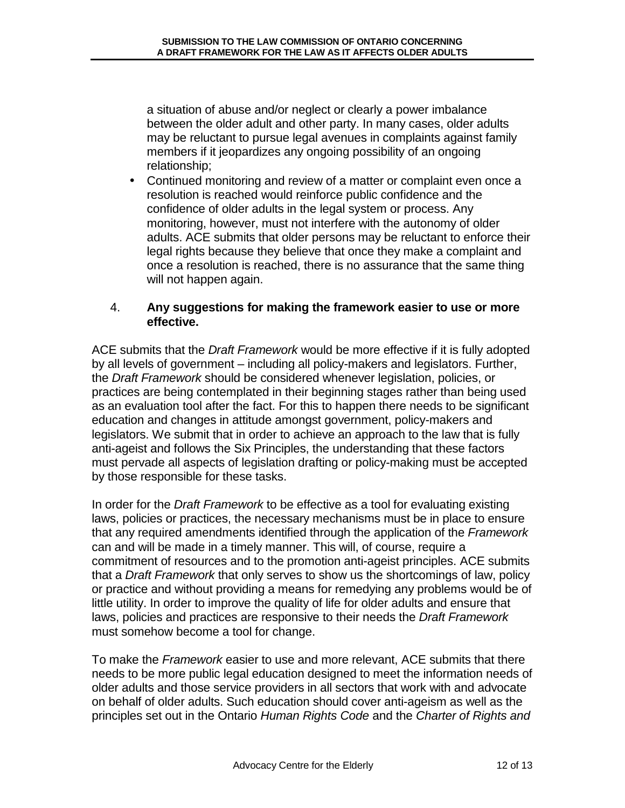a situation of abuse and/or neglect or clearly a power imbalance between the older adult and other party. In many cases, older adults may be reluctant to pursue legal avenues in complaints against family members if it jeopardizes any ongoing possibility of an ongoing relationship;

• Continued monitoring and review of a matter or complaint even once a resolution is reached would reinforce public confidence and the confidence of older adults in the legal system or process. Any monitoring, however, must not interfere with the autonomy of older adults. ACE submits that older persons may be reluctant to enforce their legal rights because they believe that once they make a complaint and once a resolution is reached, there is no assurance that the same thing will not happen again.

## 4. **Any suggestions for making the framework easier to use or more effective.**

ACE submits that the *Draft Framework* would be more effective if it is fully adopted by all levels of government – including all policy-makers and legislators. Further, the *Draft Framework* should be considered whenever legislation, policies, or practices are being contemplated in their beginning stages rather than being used as an evaluation tool after the fact. For this to happen there needs to be significant education and changes in attitude amongst government, policy-makers and legislators. We submit that in order to achieve an approach to the law that is fully anti-ageist and follows the Six Principles, the understanding that these factors must pervade all aspects of legislation drafting or policy-making must be accepted by those responsible for these tasks.

In order for the Draft Framework to be effective as a tool for evaluating existing laws, policies or practices, the necessary mechanisms must be in place to ensure that any required amendments identified through the application of the Framework can and will be made in a timely manner. This will, of course, require a commitment of resources and to the promotion anti-ageist principles. ACE submits that a Draft Framework that only serves to show us the shortcomings of law, policy or practice and without providing a means for remedying any problems would be of little utility. In order to improve the quality of life for older adults and ensure that laws, policies and practices are responsive to their needs the Draft Framework must somehow become a tool for change.

To make the *Framework* easier to use and more relevant, ACE submits that there needs to be more public legal education designed to meet the information needs of older adults and those service providers in all sectors that work with and advocate on behalf of older adults. Such education should cover anti-ageism as well as the principles set out in the Ontario Human Rights Code and the Charter of Rights and